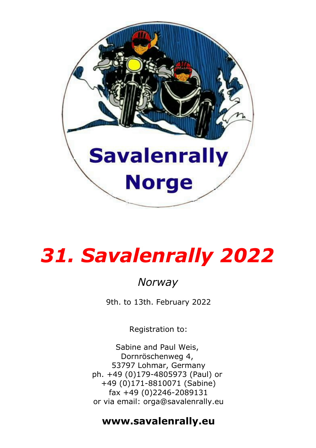

# *31. Savalenrally 2022*

## *Norway*

9th. to 13th. February 2022

Registration to:

Sabine and Paul Weis, Dornröschenweg 4, 53797 Lohmar, Germany ph. +49 (0)179-4805973 (Paul) or +49 (0)171-8810071 (Sabine) fax +49 (0)2246-2089131 or via email: orga@savalenrally.eu

### **www.savalenrally.eu**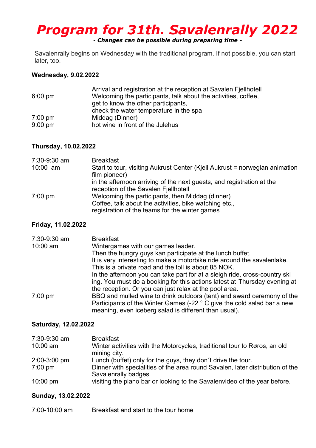# *Program for 31th. Savalenrally 2022*

- *Changes can be possible during preparing time -*

Savalenrally begins on Wednesday with the traditional program. If not possible, you can start later, too.

#### **Wednesday, 9.02.2022**

|                   | Arrival and registration at the reception at Savalen Fiellhotell |
|-------------------|------------------------------------------------------------------|
| $6:00 \text{ pm}$ | Welcoming the participants, talk about the activities, coffee,   |
|                   | get to know the other participants,                              |
|                   | check the water temperature in the spa                           |
| $7:00 \text{ pm}$ | Middag (Dinner)                                                  |
| $9:00$ pm         | hot wine in front of the Julehus                                 |

#### **Thursday, 10.02.2022**

| 7:30-9:30 am | <b>Breakfast</b>                                                            |
|--------------|-----------------------------------------------------------------------------|
| $10:00$ am   | Start to tour, visiting Aukrust Center (Kiell Aukrust = norwegian animation |
|              | film pioneer)                                                               |
|              | in the afternoon arriving of the next guests, and registration at the       |
|              | reception of the Savalen Fiellhotell                                        |
| $7:00$ pm    | Welcoming the participants, then Middag (dinner)                            |
|              | Coffee, talk about the activities, bike watching etc.,                      |
|              | registration of the teams for the winter games                              |

#### **Friday, 11.02.2022**

| 7:30-9:30 am | <b>Breakfast</b>                                                           |
|--------------|----------------------------------------------------------------------------|
| $10:00$ am   | Wintergames with our games leader.                                         |
|              | Then the hungry guys kan participate at the lunch buffet.                  |
|              | It is very interesting to make a motorbike ride around the savalenlake.    |
|              | This is a private road and the toll is about 85 NOK.                       |
|              | In the afternoon you can take part for at a sleigh ride, cross-country ski |
|              | ing. You must do a booking for this actions latest at Thursday evening at  |
|              | the reception. Or you can just relax at the pool area.                     |
| $7:00$ pm    | BBQ and mulled wine to drink outdoors (tent) and award ceremony of the     |
|              | Participants of the Winter Games (-22 ° C give the cold salad bar a new    |
|              | meaning, even iceberg salad is different than usual).                      |

#### **Saturday, 12.02.2022**

| 7:30-9:30 am       | <b>Breakfast</b>                                                                                     |
|--------------------|------------------------------------------------------------------------------------------------------|
| $10:00$ am         | Winter activities with the Motorcycles, traditional tour to Røros, an old<br>mining city.            |
| 2:00-3:00 pm       | Lunch (buffet) only for the guys, they don't drive the tour.                                         |
| $7:00$ pm          | Dinner with specialities of the area round Savalen, later distribution of the<br>Savalenrally badges |
| $10:00 \text{ pm}$ | visiting the piano bar or looking to the Savalenvideo of the year before.                            |

#### **Sunday, 13.02.2022**

| 7:00-10:00 am | Breakfast and start to the tour home |
|---------------|--------------------------------------|
|---------------|--------------------------------------|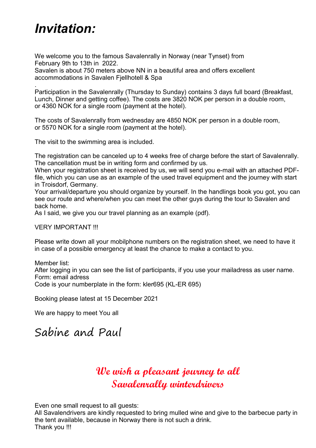# *Invitation:*

We welcome you to the famous Savalenrally in Norway (near Tynset) from February 9th to 13th in 2022. Savalen is about 750 meters above NN in a beautiful area and offers excellent accommodations in Savalen Fjellhotell & Spa

. Participation in the Savalenrally (Thursday to Sunday) contains 3 days full board (Breakfast, Lunch, Dinner and getting coffee). The costs are 3820 NOK per person in a double room, or 4360 NOK for a single room (payment at the hotel).

The costs of Savalenrally from wednesday are 4850 NOK per person in a double room, or 5570 NOK for a single room (payment at the hotel).

The visit to the swimming area is included.

The registration can be canceled up to 4 weeks free of charge before the start of Savalenrally. The cancellation must be in writing form and confirmed by us.

When your registration sheet is received by us, we will send you e-mail with an attached PDFfile, which you can use as an example of the used travel equipment and the journey with start in Troisdorf, Germany.

Your arrival/departure you should organize by yourself. In the handlings book you got, you can see our route and where/when you can meet the other guys during the tour to Savalen and back home.

As I said, we give you our travel planning as an example (pdf).

#### VERY IMPORTANT !!!

Please write down all your mobilphone numbers on the registration sheet, we need to have it in case of a possible emergency at least the chance to make a contact to you.

Member list:

After logging in you can see the list of participants, if you use your mailadress as user name. Form: email adress

Code is your numberplate in the form: kler695 (KL-ER 695)

Booking please latest at 15 December 2021

We are happy to meet You all

### Sabine and Paul

### **We wish a pleasant journey to all Savalenrally winterdrivers**

Even one small request to all quests:

All Savalendrivers are kindly requested to bring mulled wine and give to the barbecue party in the tent available, because in Norway there is not such a drink. Thank you !!!